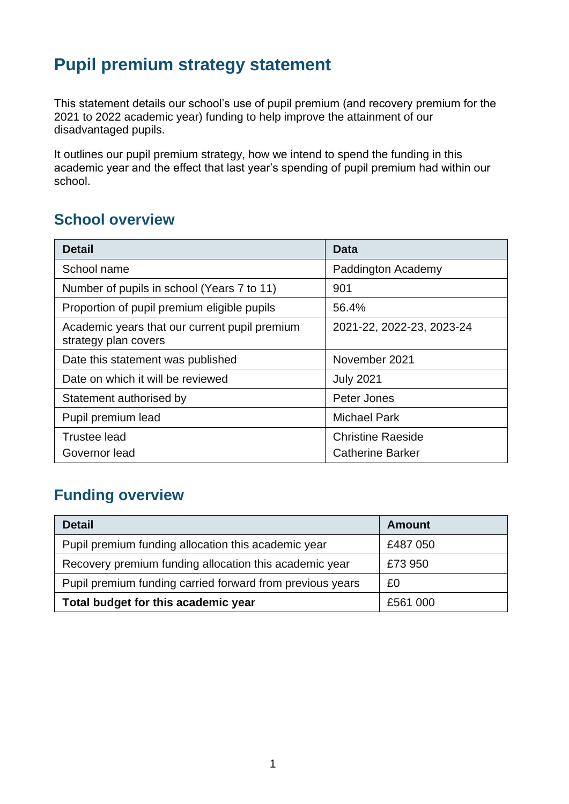# **Pupil premium strategy statement**

This statement details our school's use of pupil premium (and recovery premium for the 2021 to 2022 academic year) funding to help improve the attainment of our disadvantaged pupils.

It outlines our pupil premium strategy, how we intend to spend the funding in this academic year and the effect that last year's spending of pupil premium had within our school.

### **School overview**

| <b>Detail</b>                                                         | Data                      |  |
|-----------------------------------------------------------------------|---------------------------|--|
| School name                                                           | Paddington Academy        |  |
| Number of pupils in school (Years 7 to 11)                            | 901                       |  |
| Proportion of pupil premium eligible pupils                           | 56.4%                     |  |
| Academic years that our current pupil premium<br>strategy plan covers | 2021-22, 2022-23, 2023-24 |  |
| Date this statement was published                                     | November 2021             |  |
| Date on which it will be reviewed                                     | <b>July 2021</b>          |  |
| Statement authorised by                                               | Peter Jones               |  |
| Pupil premium lead                                                    | <b>Michael Park</b>       |  |
| <b>Trustee lead</b>                                                   | <b>Christine Raeside</b>  |  |
| Governor lead                                                         | <b>Catherine Barker</b>   |  |

## **Funding overview**

| <b>Detail</b>                                             | <b>Amount</b> |
|-----------------------------------------------------------|---------------|
| Pupil premium funding allocation this academic year       | £487 050      |
| Recovery premium funding allocation this academic year    | £73 950       |
| Pupil premium funding carried forward from previous years | £0            |
| Total budget for this academic year                       | £561 000      |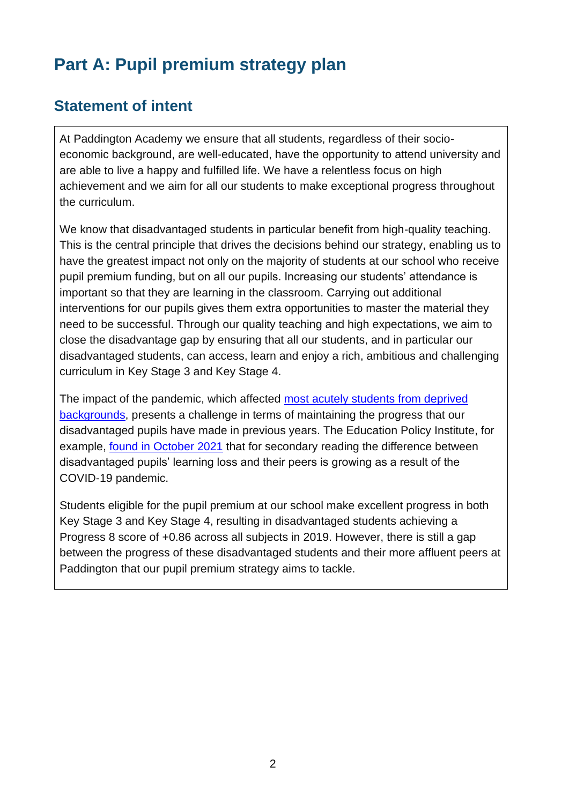# **Part A: Pupil premium strategy plan**

### **Statement of intent**

At Paddington Academy we ensure that all students, regardless of their socioeconomic background, are well-educated, have the opportunity to attend university and are able to live a happy and fulfilled life. We have a relentless focus on high achievement and we aim for all our students to make exceptional progress throughout the curriculum.

We know that disadvantaged students in particular benefit from high-quality teaching. This is the central principle that drives the decisions behind our strategy, enabling us to have the greatest impact not only on the majority of students at our school who receive pupil premium funding, but on all our pupils. Increasing our students' attendance is important so that they are learning in the classroom. Carrying out additional interventions for our pupils gives them extra opportunities to master the material they need to be successful. Through our quality teaching and high expectations, we aim to close the disadvantage gap by ensuring that all our students, and in particular our disadvantaged students, can access, learn and enjoy a rich, ambitious and challenging curriculum in Key Stage 3 and Key Stage 4.

The impact of the pandemic, which affected [most acutely students from deprived](https://educationendowmentfoundation.org.uk/guidance-for-teachers/covid-19-resources/best-evidence-on-impact-of-covid-19-on-pupil-attainment)  [backgrounds,](https://educationendowmentfoundation.org.uk/guidance-for-teachers/covid-19-resources/best-evidence-on-impact-of-covid-19-on-pupil-attainment) presents a challenge in terms of maintaining the progress that our disadvantaged pupils have made in previous years. The Education Policy Institute, for example, found [in October 2021](https://assets.publishing.service.gov.uk/government/uploads/system/uploads/attachment_data/file/1029841/Understanding_progress_in_the_2020-21_academic_year_Report_4_October2021.pdf) that for secondary reading the difference between disadvantaged pupils' learning loss and their peers is growing as a result of the COVID-19 pandemic.

Students eligible for the pupil premium at our school make excellent progress in both Key Stage 3 and Key Stage 4, resulting in disadvantaged students achieving a Progress 8 score of +0.86 across all subjects in 2019. However, there is still a gap between the progress of these disadvantaged students and their more affluent peers at Paddington that our pupil premium strategy aims to tackle.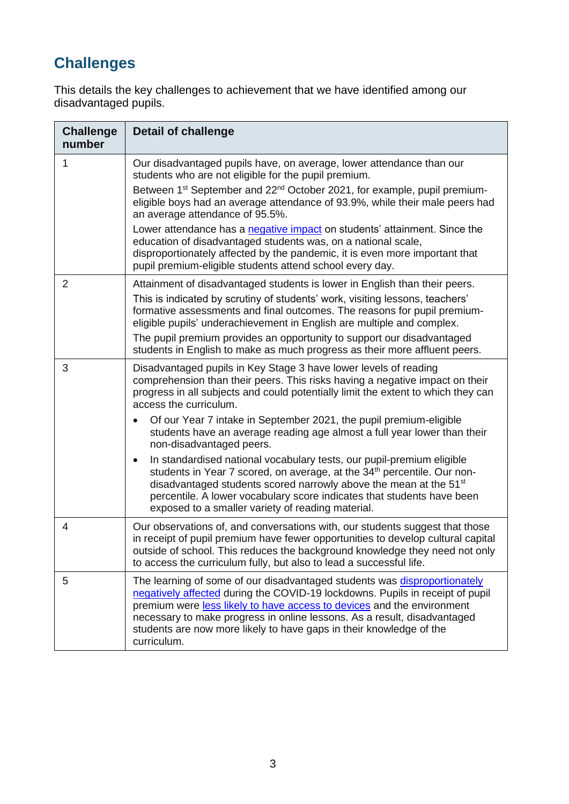# **Challenges**

This details the key challenges to achievement that we have identified among our disadvantaged pupils.

| <b>Challenge</b><br>number | <b>Detail of challenge</b>                                                                                                                                                                                                                                                                                                                                                                             |
|----------------------------|--------------------------------------------------------------------------------------------------------------------------------------------------------------------------------------------------------------------------------------------------------------------------------------------------------------------------------------------------------------------------------------------------------|
| 1                          | Our disadvantaged pupils have, on average, lower attendance than our<br>students who are not eligible for the pupil premium.<br>Between 1 <sup>st</sup> September and 22 <sup>nd</sup> October 2021, for example, pupil premium-<br>eligible boys had an average attendance of 93.9%, while their male peers had                                                                                       |
|                            | an average attendance of 95.5%.                                                                                                                                                                                                                                                                                                                                                                        |
|                            | Lower attendance has a negative impact on students' attainment. Since the<br>education of disadvantaged students was, on a national scale,<br>disproportionately affected by the pandemic, it is even more important that<br>pupil premium-eligible students attend school every day.                                                                                                                  |
| $\overline{2}$             | Attainment of disadvantaged students is lower in English than their peers.<br>This is indicated by scrutiny of students' work, visiting lessons, teachers'<br>formative assessments and final outcomes. The reasons for pupil premium-<br>eligible pupils' underachievement in English are multiple and complex.                                                                                       |
|                            | The pupil premium provides an opportunity to support our disadvantaged<br>students in English to make as much progress as their more affluent peers.                                                                                                                                                                                                                                                   |
| 3                          | Disadvantaged pupils in Key Stage 3 have lower levels of reading<br>comprehension than their peers. This risks having a negative impact on their<br>progress in all subjects and could potentially limit the extent to which they can<br>access the curriculum.                                                                                                                                        |
|                            | Of our Year 7 intake in September 2021, the pupil premium-eligible<br>$\bullet$<br>students have an average reading age almost a full year lower than their<br>non-disadvantaged peers.                                                                                                                                                                                                                |
|                            | In standardised national vocabulary tests, our pupil-premium eligible<br>$\bullet$<br>students in Year 7 scored, on average, at the 34 <sup>th</sup> percentile. Our non-<br>disadvantaged students scored narrowly above the mean at the 51 <sup>st</sup><br>percentile. A lower vocabulary score indicates that students have been<br>exposed to a smaller variety of reading material.              |
| 4                          | Our observations of, and conversations with, our students suggest that those<br>in receipt of pupil premium have fewer opportunities to develop cultural capital<br>outside of school. This reduces the background knowledge they need not only<br>to access the curriculum fully, but also to lead a successful life.                                                                                 |
| 5                          | The learning of some of our disadvantaged students was disproportionately<br>negatively affected during the COVID-19 lockdowns. Pupils in receipt of pupil<br>premium were less likely to have access to devices and the environment<br>necessary to make progress in online lessons. As a result, disadvantaged<br>students are now more likely to have gaps in their knowledge of the<br>curriculum. |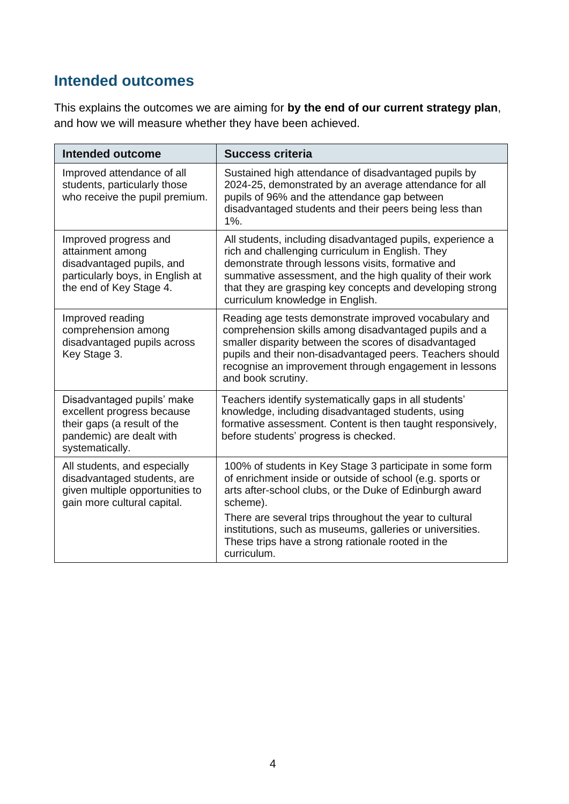### **Intended outcomes**

This explains the outcomes we are aiming for **by the end of our current strategy plan**, and how we will measure whether they have been achieved.

| <b>Intended outcome</b>                                                                                                                | <b>Success criteria</b>                                                                                                                                                                                                                                                                                                          |
|----------------------------------------------------------------------------------------------------------------------------------------|----------------------------------------------------------------------------------------------------------------------------------------------------------------------------------------------------------------------------------------------------------------------------------------------------------------------------------|
| Improved attendance of all<br>students, particularly those<br>who receive the pupil premium.                                           | Sustained high attendance of disadvantaged pupils by<br>2024-25, demonstrated by an average attendance for all<br>pupils of 96% and the attendance gap between<br>disadvantaged students and their peers being less than<br>$1\%$ .                                                                                              |
| Improved progress and<br>attainment among<br>disadvantaged pupils, and<br>particularly boys, in English at<br>the end of Key Stage 4.  | All students, including disadvantaged pupils, experience a<br>rich and challenging curriculum in English. They<br>demonstrate through lessons visits, formative and<br>summative assessment, and the high quality of their work<br>that they are grasping key concepts and developing strong<br>curriculum knowledge in English. |
| Improved reading<br>comprehension among<br>disadvantaged pupils across<br>Key Stage 3.                                                 | Reading age tests demonstrate improved vocabulary and<br>comprehension skills among disadvantaged pupils and a<br>smaller disparity between the scores of disadvantaged<br>pupils and their non-disadvantaged peers. Teachers should<br>recognise an improvement through engagement in lessons<br>and book scrutiny.             |
| Disadvantaged pupils' make<br>excellent progress because<br>their gaps (a result of the<br>pandemic) are dealt with<br>systematically. | Teachers identify systematically gaps in all students'<br>knowledge, including disadvantaged students, using<br>formative assessment. Content is then taught responsively,<br>before students' progress is checked.                                                                                                              |
| All students, and especially<br>disadvantaged students, are<br>given multiple opportunities to<br>gain more cultural capital.          | 100% of students in Key Stage 3 participate in some form<br>of enrichment inside or outside of school (e.g. sports or<br>arts after-school clubs, or the Duke of Edinburgh award<br>scheme).<br>There are several trips throughout the year to cultural                                                                          |
|                                                                                                                                        | institutions, such as museums, galleries or universities.<br>These trips have a strong rationale rooted in the<br>curriculum.                                                                                                                                                                                                    |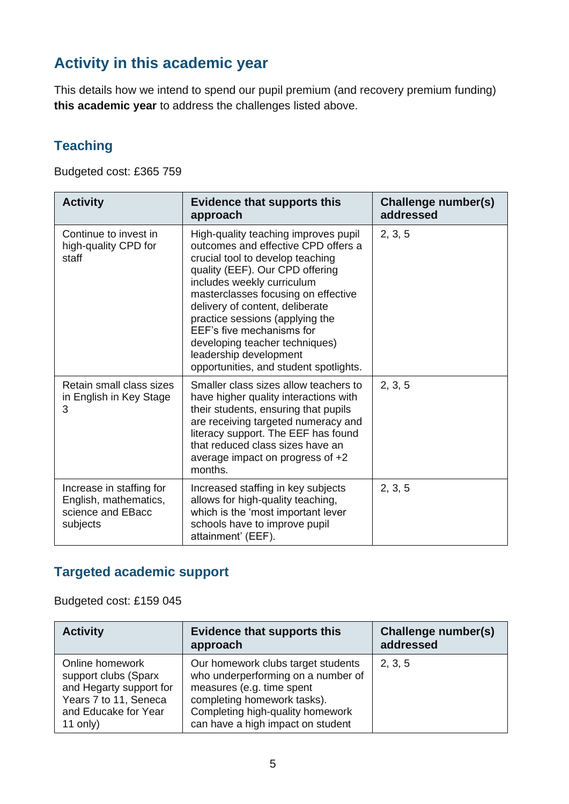## **Activity in this academic year**

This details how we intend to spend our pupil premium (and recovery premium funding) **this academic year** to address the challenges listed above.

#### **Teaching**

Budgeted cost: £365 759

| <b>Activity</b>                                                                    | <b>Evidence that supports this</b><br>approach                                                                                                                                                                                                                                                                                                                                                                                   | Challenge number(s)<br>addressed |
|------------------------------------------------------------------------------------|----------------------------------------------------------------------------------------------------------------------------------------------------------------------------------------------------------------------------------------------------------------------------------------------------------------------------------------------------------------------------------------------------------------------------------|----------------------------------|
| Continue to invest in<br>high-quality CPD for<br>staff                             | High-quality teaching improves pupil<br>outcomes and effective CPD offers a<br>crucial tool to develop teaching<br>quality (EEF). Our CPD offering<br>includes weekly curriculum<br>masterclasses focusing on effective<br>delivery of content, deliberate<br>practice sessions (applying the<br>EEF's five mechanisms for<br>developing teacher techniques)<br>leadership development<br>opportunities, and student spotlights. | 2, 3, 5                          |
| Retain small class sizes<br>in English in Key Stage<br>3                           | Smaller class sizes allow teachers to<br>have higher quality interactions with<br>their students, ensuring that pupils<br>are receiving targeted numeracy and<br>literacy support. The EEF has found<br>that reduced class sizes have an<br>average impact on progress of +2<br>months.                                                                                                                                          | 2, 3, 5                          |
| Increase in staffing for<br>English, mathematics,<br>science and EBacc<br>subjects | Increased staffing in key subjects<br>allows for high-quality teaching,<br>which is the 'most important lever<br>schools have to improve pupil<br>attainment' (EEF).                                                                                                                                                                                                                                                             | 2, 3, 5                          |

#### **Targeted academic support**

Budgeted cost: £159 045

| <b>Activity</b>                                                                                                                 | <b>Evidence that supports this</b><br>approach                                                                                                                                                                | Challenge number(s)<br>addressed |
|---------------------------------------------------------------------------------------------------------------------------------|---------------------------------------------------------------------------------------------------------------------------------------------------------------------------------------------------------------|----------------------------------|
| Online homework<br>support clubs (Sparx<br>and Hegarty support for<br>Years 7 to 11, Seneca<br>and Educake for Year<br>11 only) | Our homework clubs target students<br>who underperforming on a number of<br>measures (e.g. time spent<br>completing homework tasks).<br>Completing high-quality homework<br>can have a high impact on student | 2, 3, 5                          |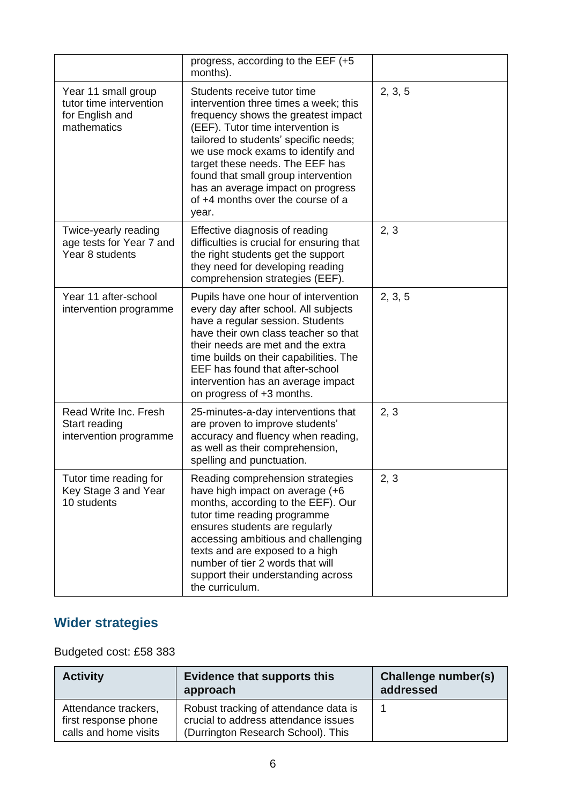|                                                                                  | progress, according to the EEF (+5<br>months).                                                                                                                                                                                                                                                                                                                                              |         |
|----------------------------------------------------------------------------------|---------------------------------------------------------------------------------------------------------------------------------------------------------------------------------------------------------------------------------------------------------------------------------------------------------------------------------------------------------------------------------------------|---------|
| Year 11 small group<br>tutor time intervention<br>for English and<br>mathematics | Students receive tutor time<br>intervention three times a week; this<br>frequency shows the greatest impact<br>(EEF). Tutor time intervention is<br>tailored to students' specific needs;<br>we use mock exams to identify and<br>target these needs. The EEF has<br>found that small group intervention<br>has an average impact on progress<br>of +4 months over the course of a<br>year. | 2, 3, 5 |
| Twice-yearly reading<br>age tests for Year 7 and<br>Year 8 students              | Effective diagnosis of reading<br>difficulties is crucial for ensuring that<br>the right students get the support<br>they need for developing reading<br>comprehension strategies (EEF).                                                                                                                                                                                                    | 2, 3    |
| Year 11 after-school<br>intervention programme                                   | Pupils have one hour of intervention<br>every day after school. All subjects<br>have a regular session. Students<br>have their own class teacher so that<br>their needs are met and the extra<br>time builds on their capabilities. The<br>EEF has found that after-school<br>intervention has an average impact<br>on progress of +3 months.                                               | 2, 3, 5 |
| Read Write Inc. Fresh<br>Start reading<br>intervention programme                 | 25-minutes-a-day interventions that<br>are proven to improve students'<br>accuracy and fluency when reading,<br>as well as their comprehension,<br>spelling and punctuation.                                                                                                                                                                                                                | 2, 3    |
| Tutor time reading for<br>Key Stage 3 and Year<br>10 students                    | Reading comprehension strategies<br>have high impact on average (+6<br>months, according to the EEF). Our<br>tutor time reading programme<br>ensures students are regularly<br>accessing ambitious and challenging<br>texts and are exposed to a high<br>number of tier 2 words that will<br>support their understanding across<br>the curriculum.                                          | 2, 3    |

## **Wider strategies**

#### Budgeted cost: £58 383

| <b>Activity</b>                                                       | <b>Evidence that supports this</b><br>approach                                                                      | Challenge number(s)<br>addressed |
|-----------------------------------------------------------------------|---------------------------------------------------------------------------------------------------------------------|----------------------------------|
| Attendance trackers,<br>first response phone<br>calls and home visits | Robust tracking of attendance data is<br>crucial to address attendance issues<br>(Durrington Research School). This |                                  |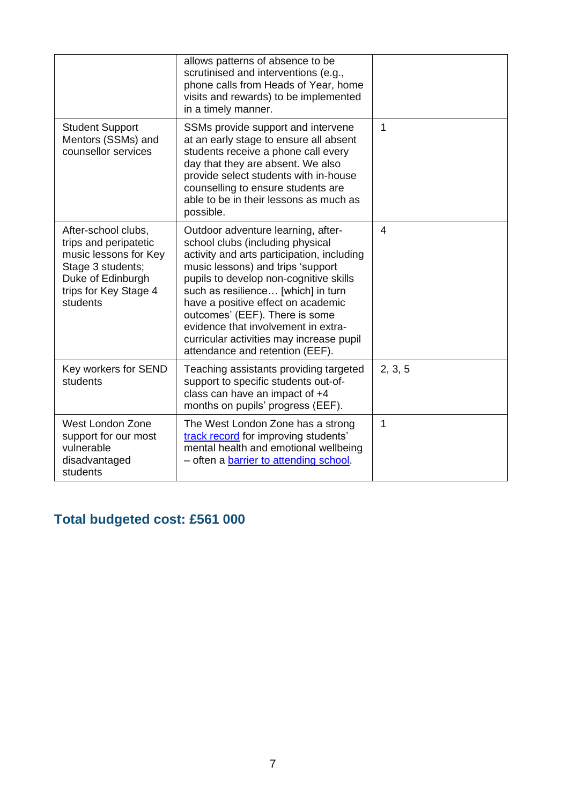|                                                                                                                                                      | allows patterns of absence to be<br>scrutinised and interventions (e.g.,<br>phone calls from Heads of Year, home<br>visits and rewards) to be implemented<br>in a timely manner.                                                                                                                                                                                                                                                        |                |
|------------------------------------------------------------------------------------------------------------------------------------------------------|-----------------------------------------------------------------------------------------------------------------------------------------------------------------------------------------------------------------------------------------------------------------------------------------------------------------------------------------------------------------------------------------------------------------------------------------|----------------|
| <b>Student Support</b><br>Mentors (SSMs) and<br>counsellor services                                                                                  | SSMs provide support and intervene<br>at an early stage to ensure all absent<br>students receive a phone call every<br>day that they are absent. We also<br>provide select students with in-house<br>counselling to ensure students are<br>able to be in their lessons as much as<br>possible.                                                                                                                                          | $\mathbf{1}$   |
| After-school clubs,<br>trips and peripatetic<br>music lessons for Key<br>Stage 3 students;<br>Duke of Edinburgh<br>trips for Key Stage 4<br>students | Outdoor adventure learning, after-<br>school clubs (including physical<br>activity and arts participation, including<br>music lessons) and trips 'support<br>pupils to develop non-cognitive skills<br>such as resilience [which] in turn<br>have a positive effect on academic<br>outcomes' (EEF). There is some<br>evidence that involvement in extra-<br>curricular activities may increase pupil<br>attendance and retention (EEF). | $\overline{4}$ |
| Key workers for SEND<br>students                                                                                                                     | Teaching assistants providing targeted<br>support to specific students out-of-<br>class can have an impact of +4<br>months on pupils' progress (EEF).                                                                                                                                                                                                                                                                                   | 2, 3, 5        |
| West London Zone<br>support for our most<br>vulnerable<br>disadvantaged<br>students                                                                  | The West London Zone has a strong<br>track record for improving students'<br>mental health and emotional wellbeing<br>- often a barrier to attending school.                                                                                                                                                                                                                                                                            | 1              |

## **Total budgeted cost: £561 000**